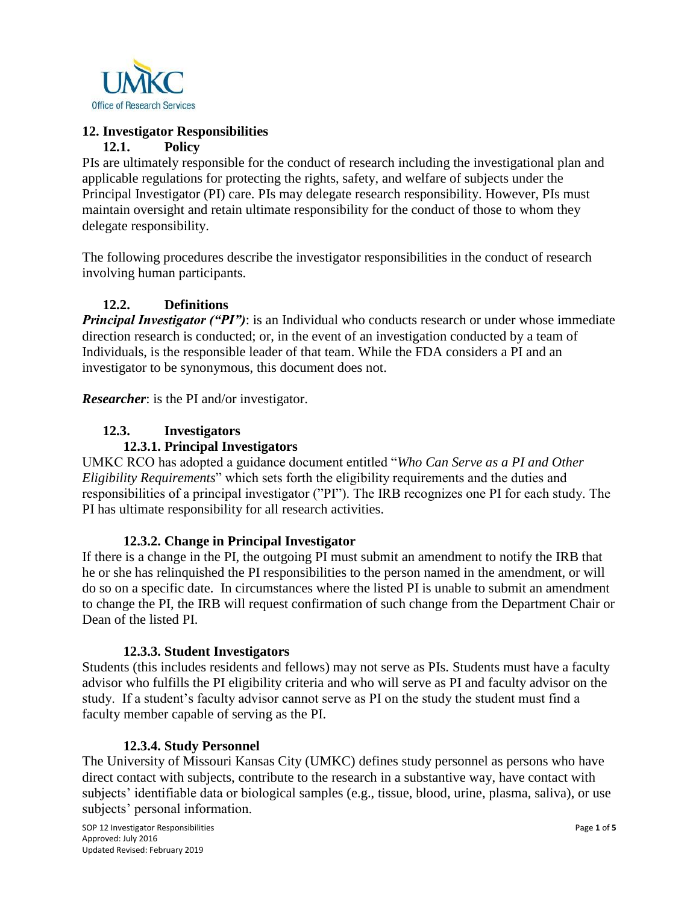

# **12. Investigator Responsibilities**

## **12.1. Policy**

PIs are ultimately responsible for the conduct of research including the investigational plan and applicable regulations for protecting the rights, safety, and welfare of subjects under the Principal Investigator (PI) care. PIs may delegate research responsibility. However, PIs must maintain oversight and retain ultimate responsibility for the conduct of those to whom they delegate responsibility.

The following procedures describe the investigator responsibilities in the conduct of research involving human participants.

# **12.2. Definitions**

*Principal Investigator ("PI")*: is an Individual who conducts research or under whose immediate direction research is conducted; or, in the event of an investigation conducted by a team of Individuals, is the responsible leader of that team. While the FDA considers a PI and an investigator to be synonymous, this document does not.

*Researcher*: is the PI and/or investigator.

# **12.3. Investigators**

## **12.3.1. Principal Investigators**

UMKC RCO has adopted a guidance document entitled "*Who Can Serve as a PI and Other Eligibility Requirements*" which sets forth the eligibility requirements and the duties and responsibilities of a principal investigator ("PI"). The IRB recognizes one PI for each study. The PI has ultimate responsibility for all research activities.

#### **12.3.2. Change in Principal Investigator**

If there is a change in the PI, the outgoing PI must submit an amendment to notify the IRB that he or she has relinquished the PI responsibilities to the person named in the amendment, or will do so on a specific date. In circumstances where the listed PI is unable to submit an amendment to change the PI, the IRB will request confirmation of such change from the Department Chair or Dean of the listed PI.

#### **12.3.3. Student Investigators**

Students (this includes residents and fellows) may not serve as PIs. Students must have a faculty advisor who fulfills the PI eligibility criteria and who will serve as PI and faculty advisor on the study. If a student's faculty advisor cannot serve as PI on the study the student must find a faculty member capable of serving as the PI.

# **12.3.4. Study Personnel**

The University of Missouri Kansas City (UMKC) defines study personnel as persons who have direct contact with subjects, contribute to the research in a substantive way, have contact with subjects' identifiable data or biological samples (e.g., tissue, blood, urine, plasma, saliva), or use subjects' personal information.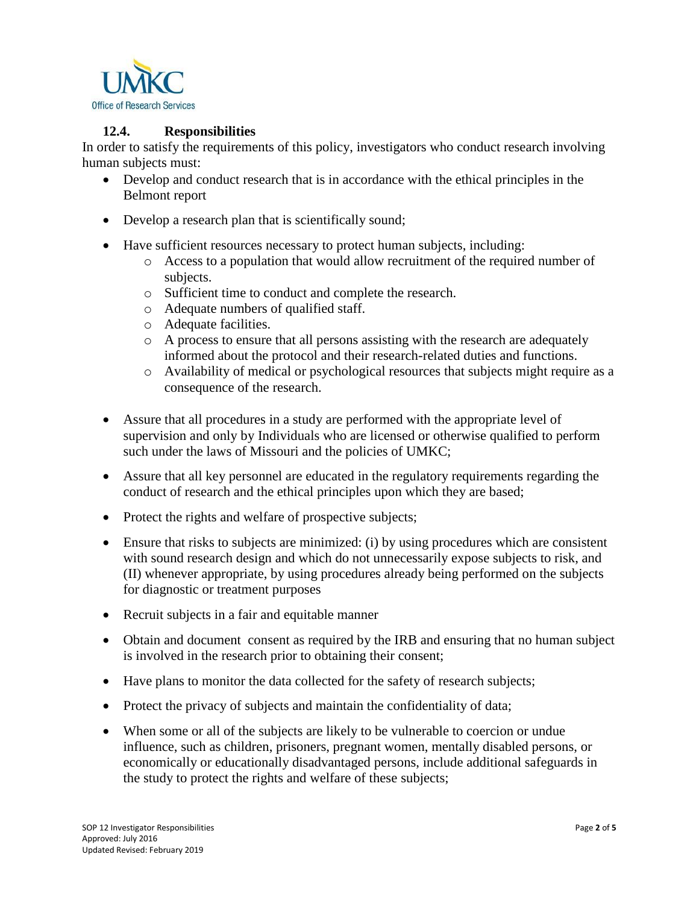

### **12.4. Responsibilities**

In order to satisfy the requirements of this policy, investigators who conduct research involving human subjects must:

- Develop and conduct research that is in accordance with the ethical principles in the Belmont report
- Develop a research plan that is scientifically sound;
- Have sufficient resources necessary to protect human subjects, including:
	- o Access to a population that would allow recruitment of the required number of subjects.
	- o Sufficient time to conduct and complete the research.
	- o Adequate numbers of qualified staff.
	- o Adequate facilities.
	- $\circ$  A process to ensure that all persons assisting with the research are adequately informed about the protocol and their research-related duties and functions.
	- o Availability of medical or psychological resources that subjects might require as a consequence of the research.
- Assure that all procedures in a study are performed with the appropriate level of supervision and only by Individuals who are licensed or otherwise qualified to perform such under the laws of Missouri and the policies of UMKC;
- Assure that all key personnel are educated in the regulatory requirements regarding the conduct of research and the ethical principles upon which they are based;
- Protect the rights and welfare of prospective subjects;
- Ensure that risks to subjects are minimized: (i) by using procedures which are consistent with sound research design and which do not unnecessarily expose subjects to risk, and (II) whenever appropriate, by using procedures already being performed on the subjects for diagnostic or treatment purposes
- Recruit subjects in a fair and equitable manner
- Obtain and document consent as required by the IRB and ensuring that no human subject is involved in the research prior to obtaining their consent;
- Have plans to monitor the data collected for the safety of research subjects;
- Protect the privacy of subjects and maintain the confidentiality of data;
- When some or all of the subjects are likely to be vulnerable to coercion or undue influence, such as children, prisoners, pregnant women, mentally disabled persons, or economically or educationally disadvantaged persons, include additional safeguards in the study to protect the rights and welfare of these subjects;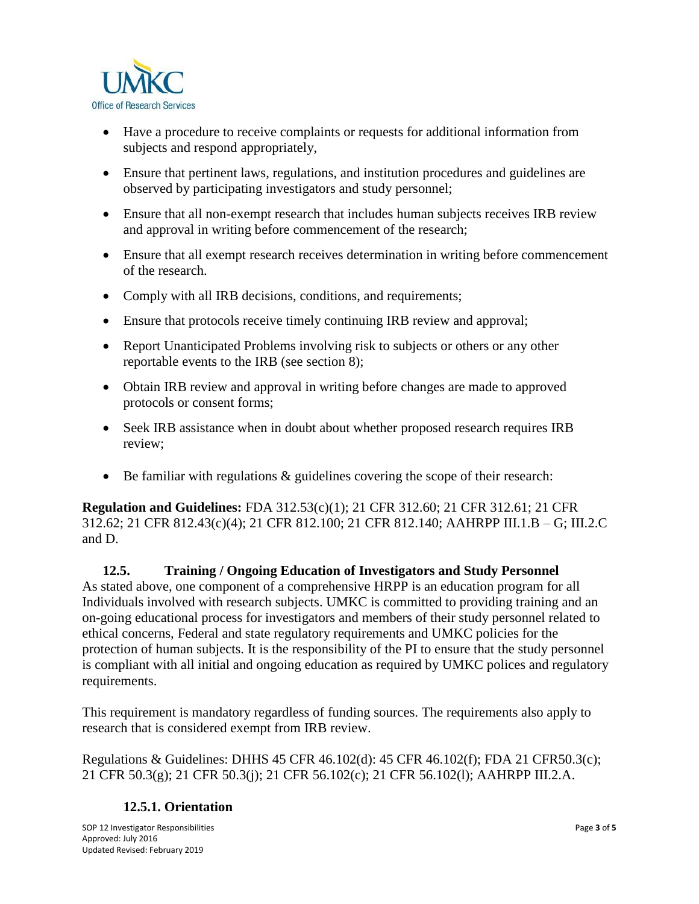

- Have a procedure to receive complaints or requests for additional information from subjects and respond appropriately,
- Ensure that pertinent laws, regulations, and institution procedures and guidelines are observed by participating investigators and study personnel;
- Ensure that all non-exempt research that includes human subjects receives IRB review and approval in writing before commencement of the research;
- Ensure that all exempt research receives determination in writing before commencement of the research.
- Comply with all IRB decisions, conditions, and requirements;
- Ensure that protocols receive timely continuing IRB review and approval;
- Report Unanticipated Problems involving risk to subjects or others or any other reportable events to the IRB (see section 8);
- Obtain IRB review and approval in writing before changes are made to approved protocols or consent forms;
- Seek IRB assistance when in doubt about whether proposed research requires IRB review;
- Be familiar with regulations & guidelines covering the scope of their research:

**Regulation and Guidelines:** FDA 312.53(c)(1); 21 CFR 312.60; 21 CFR 312.61; 21 CFR 312.62; 21 CFR 812.43(c)(4); 21 CFR 812.100; 21 CFR 812.140; AAHRPP III.1.B – G; III.2.C and D.

#### **12.5. Training / Ongoing Education of Investigators and Study Personnel**  As stated above, one component of a comprehensive HRPP is an education program for all Individuals involved with research subjects. UMKC is committed to providing training and an on-going educational process for investigators and members of their study personnel related to ethical concerns, Federal and state regulatory requirements and UMKC policies for the protection of human subjects. It is the responsibility of the PI to ensure that the study personnel is compliant with all initial and ongoing education as required by UMKC polices and regulatory requirements.

This requirement is mandatory regardless of funding sources. The requirements also apply to research that is considered exempt from IRB review.

Regulations & Guidelines: DHHS 45 CFR 46.102(d): 45 CFR 46.102(f); FDA 21 CFR50.3(c); 21 CFR 50.3(g); 21 CFR 50.3(j); 21 CFR 56.102(c); 21 CFR 56.102(l); AAHRPP III.2.A.

# **12.5.1. Orientation**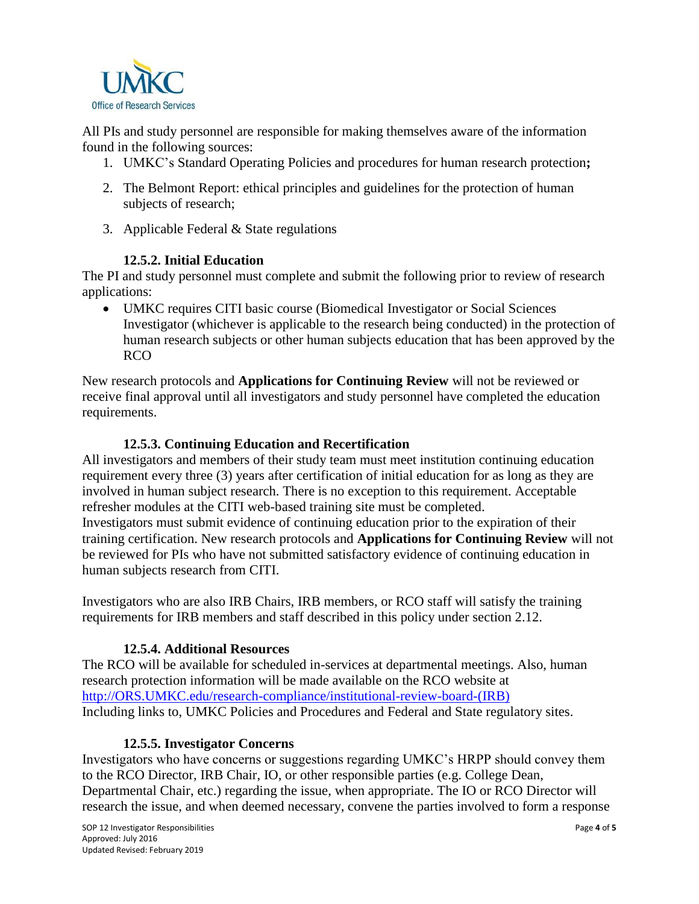

All PIs and study personnel are responsible for making themselves aware of the information found in the following sources:

- 1. UMKC's Standard Operating Policies and procedures for human research protection**;**
- 2. The Belmont Report: ethical principles and guidelines for the protection of human subjects of research;
- 3. Applicable Federal & State regulations

### **12.5.2. Initial Education**

The PI and study personnel must complete and submit the following prior to review of research applications:

 UMKC requires CITI basic course (Biomedical Investigator or Social Sciences Investigator (whichever is applicable to the research being conducted) in the protection of human research subjects or other human subjects education that has been approved by the RCO

New research protocols and **Applications for Continuing Review** will not be reviewed or receive final approval until all investigators and study personnel have completed the education requirements.

### **12.5.3. Continuing Education and Recertification**

All investigators and members of their study team must meet institution continuing education requirement every three (3) years after certification of initial education for as long as they are involved in human subject research. There is no exception to this requirement. Acceptable refresher modules at the CITI web-based training site must be completed. Investigators must submit evidence of continuing education prior to the expiration of their training certification. New research protocols and **Applications for Continuing Review** will not be reviewed for PIs who have not submitted satisfactory evidence of continuing education in human subjects research from CITI.

Investigators who are also IRB Chairs, IRB members, or RCO staff will satisfy the training requirements for IRB members and staff described in this policy under section 2.12.

# **12.5.4. Additional Resources**

The RCO will be available for scheduled in-services at departmental meetings. Also, human research protection information will be made available on the RCO website at [http://ORS.UMKC.edu/research-compliance/institutional-review-board-\(IRB\)](http://ors.umkc.edu/research-compliance/institutional-review-board-(irb)) Including links to, UMKC Policies and Procedures and Federal and State regulatory sites.

#### **12.5.5. Investigator Concerns**

Investigators who have concerns or suggestions regarding UMKC's HRPP should convey them to the RCO Director, IRB Chair, IO, or other responsible parties (e.g. College Dean, Departmental Chair, etc.) regarding the issue, when appropriate. The IO or RCO Director will research the issue, and when deemed necessary, convene the parties involved to form a response